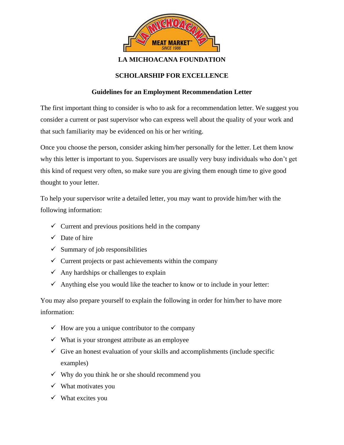

## **LA MICHOACANA FOUNDATION**

## **SCHOLARSHIP FOR EXCELLENCE**

## **Guidelines for an Employment Recommendation Letter**

The first important thing to consider is who to ask for a recommendation letter. We suggest you consider a current or past supervisor who can express well about the quality of your work and that such familiarity may be evidenced on his or her writing.

Once you choose the person, consider asking him/her personally for the letter. Let them know why this letter is important to you. Supervisors are usually very busy individuals who don't get this kind of request very often, so make sure you are giving them enough time to give good thought to your letter.

To help your supervisor write a detailed letter, you may want to provide him/her with the following information:

- $\checkmark$  Current and previous positions held in the company
- $\checkmark$  Date of hire
- $\checkmark$  Summary of job responsibilities
- $\checkmark$  Current projects or past achievements within the company
- $\checkmark$  Any hardships or challenges to explain
- $\checkmark$  Anything else you would like the teacher to know or to include in your letter:

You may also prepare yourself to explain the following in order for him/her to have more information:

- $\checkmark$  How are you a unique contributor to the company
- $\checkmark$  What is your strongest attribute as an employee
- $\checkmark$  Give an honest evaluation of your skills and accomplishments (include specific examples)
- $\checkmark$  Why do you think he or she should recommend you
- $\checkmark$  What motivates you
- $\checkmark$  What excites you